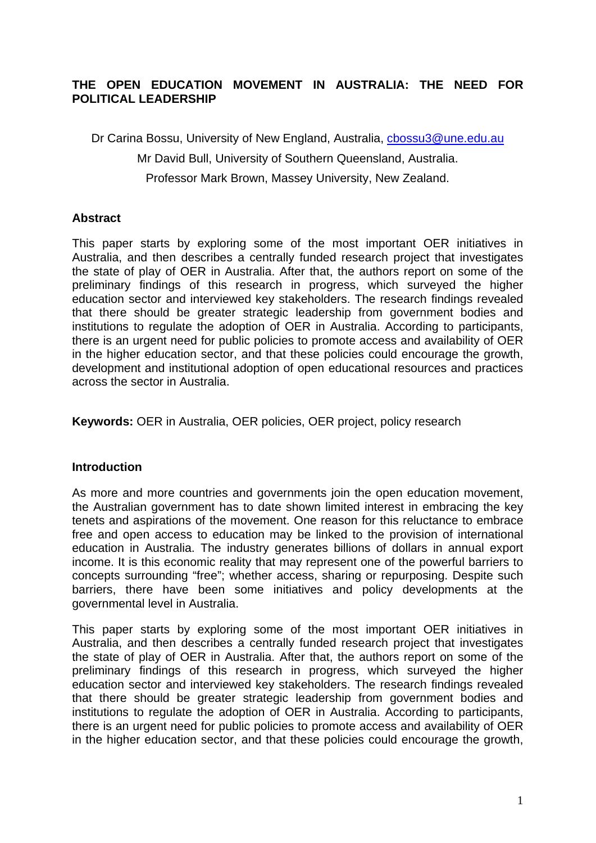## **THE OPEN EDUCATION MOVEMENT IN AUSTRALIA: THE NEED FOR POLITICAL LEADERSHIP**

Dr Carina Bossu, University of New England, Australia, [cbossu3@une.edu.au](mailto:cbossu3@une.edu.au)

Mr David Bull, University of Southern Queensland, Australia.

Professor Mark Brown, Massey University, New Zealand.

### **Abstract**

This paper starts by exploring some of the most important OER initiatives in Australia, and then describes a centrally funded research project that investigates the state of play of OER in Australia. After that, the authors report on some of the preliminary findings of this research in progress, which surveyed the higher education sector and interviewed key stakeholders. The research findings revealed that there should be greater strategic leadership from government bodies and institutions to regulate the adoption of OER in Australia. According to participants, there is an urgent need for public policies to promote access and availability of OER in the higher education sector, and that these policies could encourage the growth, development and institutional adoption of open educational resources and practices across the sector in Australia.

**Keywords:** OER in Australia, OER policies, OER project, policy research

#### **Introduction**

As more and more countries and governments join the open education movement, the Australian government has to date shown limited interest in embracing the key tenets and aspirations of the movement. One reason for this reluctance to embrace free and open access to education may be linked to the provision of international education in Australia. The industry generates billions of dollars in annual export income. It is this economic reality that may represent one of the powerful barriers to concepts surrounding "free"; whether access, sharing or repurposing. Despite such barriers, there have been some initiatives and policy developments at the governmental level in Australia.

This paper starts by exploring some of the most important OER initiatives in Australia, and then describes a centrally funded research project that investigates the state of play of OER in Australia. After that, the authors report on some of the preliminary findings of this research in progress, which surveyed the higher education sector and interviewed key stakeholders. The research findings revealed that there should be greater strategic leadership from government bodies and institutions to regulate the adoption of OER in Australia. According to participants, there is an urgent need for public policies to promote access and availability of OER in the higher education sector, and that these policies could encourage the growth,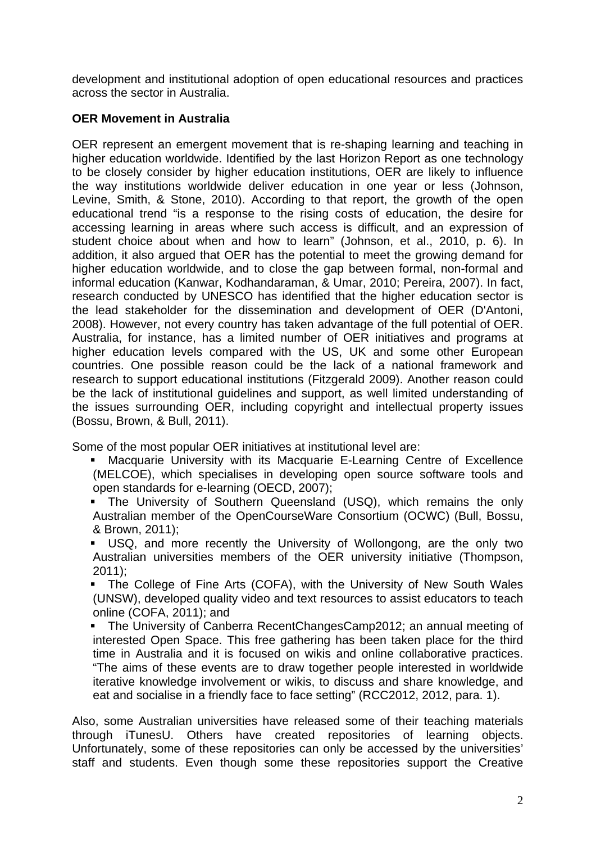development and institutional adoption of open educational resources and practices across the sector in Australia.

# **OER Movement in Australia**

OER represent an emergent movement that is re-shaping learning and teaching in higher education worldwide. Identified by the last Horizon Report as one technology to be closely consider by higher education institutions, OER are likely to influence the way institutions worldwide deliver education in one year or less (Johnson, Levine, Smith, & Stone, 2010). According to that report, the growth of the open educational trend "is a response to the rising costs of education, the desire for accessing learning in areas where such access is difficult, and an expression of student choice about when and how to learn" (Johnson, et al., 2010, p. 6). In addition, it also argued that OER has the potential to meet the growing demand for higher education worldwide, and to close the gap between formal, non-formal and informal education (Kanwar, Kodhandaraman, & Umar, 2010; Pereira, 2007). In fact, research conducted by UNESCO has identified that the higher education sector is the lead stakeholder for the dissemination and development of OER (D'Antoni, 2008). However, not every country has taken advantage of the full potential of OER. Australia, for instance, has a limited number of OER initiatives and programs at higher education levels compared with the US, UK and some other European countries. One possible reason could be the lack of a national framework and research to support educational institutions (Fitzgerald 2009). Another reason could be the lack of institutional guidelines and support, as well limited understanding of the issues surrounding OER, including copyright and intellectual property issues (Bossu, Brown, & Bull, 2011).

Some of the most popular OER initiatives at institutional level are:

- Macquarie University with its Macquarie E-Learning Centre of Excellence (MELCOE), which specialises in developing open source software tools and open standards for e-learning (OECD, 2007);
- The University of Southern Queensland (USQ), which remains the only Australian member of the OpenCourseWare Consortium (OCWC) (Bull, Bossu, & Brown, 2011);
- USQ, and more recently the University of Wollongong, are the only two Australian universities members of the OER university initiative (Thompson, 2011);

 The College of Fine Arts (COFA), with the University of New South Wales (UNSW), developed quality video and text resources to assist educators to teach online (COFA, 2011); and

 The University of Canberra RecentChangesCamp2012; an annual meeting of interested Open Space. This free gathering has been taken place for the third time in Australia and it is focused on wikis and online collaborative practices. "The aims of these events are to draw together people interested in worldwide iterative knowledge involvement or wikis, to discuss and share knowledge, and eat and socialise in a friendly face to face setting" (RCC2012, 2012, para. 1).

Also, some Australian universities have released some of their teaching materials through iTunesU. Others have created repositories of learning objects. Unfortunately, some of these repositories can only be accessed by the universities' staff and students. Even though some these repositories support the Creative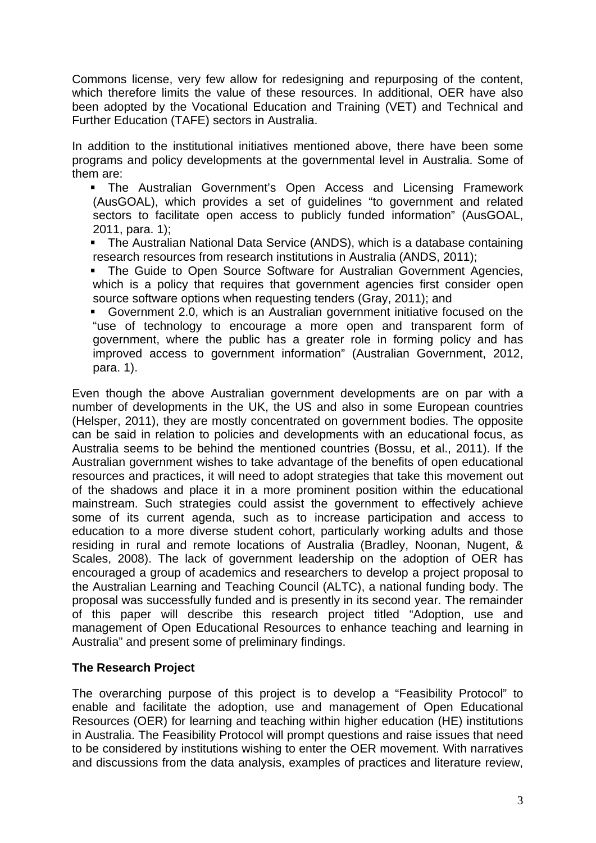Commons license, very few allow for redesigning and repurposing of the content, which therefore limits the value of these resources. In additional, OER have also been adopted by the Vocational Education and Training (VET) and Technical and Further Education (TAFE) sectors in Australia.

In addition to the institutional initiatives mentioned above, there have been some programs and policy developments at the governmental level in Australia. Some of them are:

- The Australian Government's Open Access and Licensing Framework (AusGOAL), which provides a set of guidelines "to government and related sectors to facilitate open access to publicly funded information" (AusGOAL, 2011, para. 1);
- The Australian National Data Service (ANDS), which is a database containing research resources from research institutions in Australia (ANDS, 2011);
- **The Guide to Open Source Software for Australian Government Agencies,** which is a policy that requires that government agencies first consider open source software options when requesting tenders (Gray, 2011); and
- Government 2.0, which is an Australian government initiative focused on the "use of technology to encourage a more open and transparent form of government, where the public has a greater role in forming policy and has improved access to government information" (Australian Government, 2012, para. 1).

Even though the above Australian government developments are on par with a number of developments in the UK, the US and also in some European countries (Helsper, 2011), they are mostly concentrated on government bodies. The opposite can be said in relation to policies and developments with an educational focus, as Australia seems to be behind the mentioned countries (Bossu, et al., 2011). If the Australian government wishes to take advantage of the benefits of open educational resources and practices, it will need to adopt strategies that take this movement out of the shadows and place it in a more prominent position within the educational mainstream. Such strategies could assist the government to effectively achieve some of its current agenda, such as to increase participation and access to education to a more diverse student cohort, particularly working adults and those residing in rural and remote locations of Australia (Bradley, Noonan, Nugent, & Scales, 2008). The lack of government leadership on the adoption of OER has encouraged a group of academics and researchers to develop a project proposal to the Australian Learning and Teaching Council (ALTC), a national funding body. The proposal was successfully funded and is presently in its second year. The remainder of this paper will describe this research project titled "Adoption, use and management of Open Educational Resources to enhance teaching and learning in Australia" and present some of preliminary findings.

## **The Research Project**

The overarching purpose of this project is to develop a "Feasibility Protocol" to enable and facilitate the adoption, use and management of Open Educational Resources (OER) for learning and teaching within higher education (HE) institutions in Australia. The Feasibility Protocol will prompt questions and raise issues that need to be considered by institutions wishing to enter the OER movement. With narratives and discussions from the data analysis, examples of practices and literature review,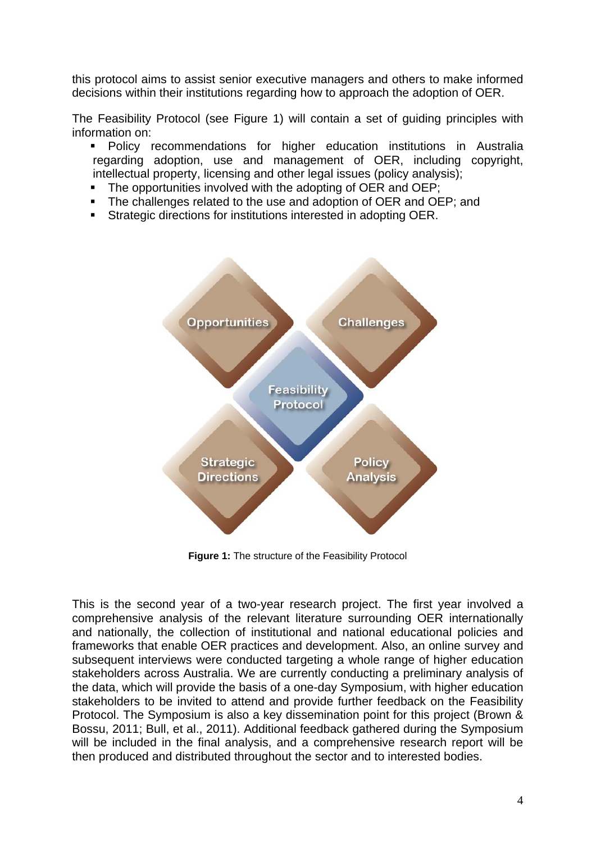this protocol aims to assist senior executive managers and others to make informed decisions within their institutions regarding how to approach the adoption of OER.

The Feasibility Protocol (see Figure 1) will contain a set of guiding principles with information on:

- **Policy recommendations for higher education institutions in Australia** regarding adoption, use and management of OER, including copyright, intellectual property, licensing and other legal issues (policy analysis):
- The opportunities involved with the adopting of OER and OEP;
- The challenges related to the use and adoption of OER and OEP; and
- Strategic directions for institutions interested in adopting OER.



**Figure 1:** The structure of the Feasibility Protocol

This is the second year of a two-year research project. The first year involved a comprehensive analysis of the relevant literature surrounding OER internationally and nationally, the collection of institutional and national educational policies and frameworks that enable OER practices and development. Also, an online survey and subsequent interviews were conducted targeting a whole range of higher education stakeholders across Australia. We are currently conducting a preliminary analysis of the data, which will provide the basis of a one-day Symposium, with higher education stakeholders to be invited to attend and provide further feedback on the Feasibility Protocol. The Symposium is also a key dissemination point for this project (Brown & Bossu, 2011; Bull, et al., 2011). Additional feedback gathered during the Symposium will be included in the final analysis, and a comprehensive research report will be then produced and distributed throughout the sector and to interested bodies.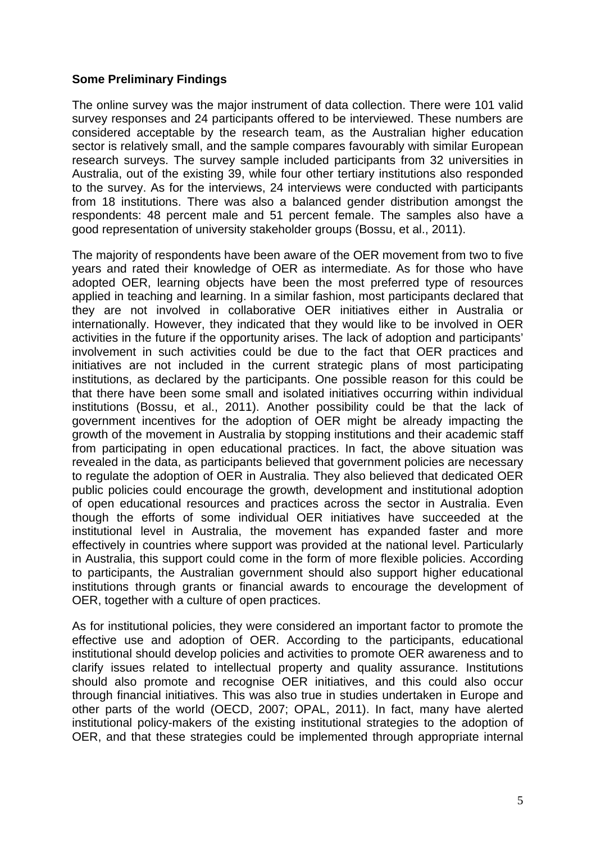### **Some Preliminary Findings**

The online survey was the major instrument of data collection. There were 101 valid survey responses and 24 participants offered to be interviewed. These numbers are considered acceptable by the research team, as the Australian higher education sector is relatively small, and the sample compares favourably with similar European research surveys. The survey sample included participants from 32 universities in Australia, out of the existing 39, while four other tertiary institutions also responded to the survey. As for the interviews, 24 interviews were conducted with participants from 18 institutions. There was also a balanced gender distribution amongst the respondents: 48 percent male and 51 percent female. The samples also have a good representation of university stakeholder groups (Bossu, et al., 2011).

The majority of respondents have been aware of the OER movement from two to five years and rated their knowledge of OER as intermediate. As for those who have adopted OER, learning objects have been the most preferred type of resources applied in teaching and learning. In a similar fashion, most participants declared that they are not involved in collaborative OER initiatives either in Australia or internationally. However, they indicated that they would like to be involved in OER activities in the future if the opportunity arises. The lack of adoption and participants' involvement in such activities could be due to the fact that OER practices and initiatives are not included in the current strategic plans of most participating institutions, as declared by the participants. One possible reason for this could be that there have been some small and isolated initiatives occurring within individual institutions (Bossu, et al., 2011). Another possibility could be that the lack of government incentives for the adoption of OER might be already impacting the growth of the movement in Australia by stopping institutions and their academic staff from participating in open educational practices. In fact, the above situation was revealed in the data, as participants believed that government policies are necessary to regulate the adoption of OER in Australia. They also believed that dedicated OER public policies could encourage the growth, development and institutional adoption of open educational resources and practices across the sector in Australia. Even though the efforts of some individual OER initiatives have succeeded at the institutional level in Australia, the movement has expanded faster and more effectively in countries where support was provided at the national level. Particularly in Australia, this support could come in the form of more flexible policies. According to participants, the Australian government should also support higher educational institutions through grants or financial awards to encourage the development of OER, together with a culture of open practices.

As for institutional policies, they were considered an important factor to promote the effective use and adoption of OER. According to the participants, educational institutional should develop policies and activities to promote OER awareness and to clarify issues related to intellectual property and quality assurance. Institutions should also promote and recognise OER initiatives, and this could also occur through financial initiatives. This was also true in studies undertaken in Europe and other parts of the world (OECD, 2007; OPAL, 2011). In fact, many have alerted institutional policy-makers of the existing institutional strategies to the adoption of OER, and that these strategies could be implemented through appropriate internal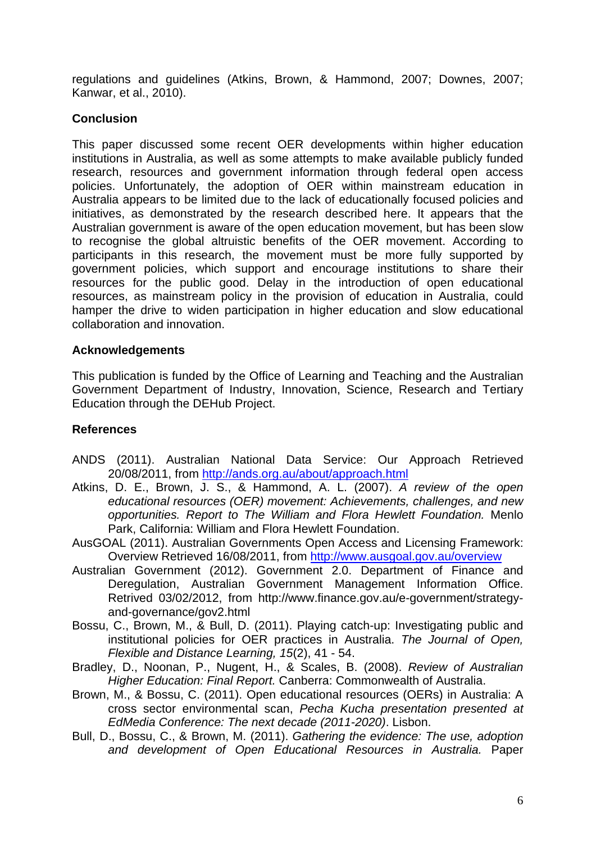regulations and guidelines (Atkins, Brown, & Hammond, 2007; Downes, 2007; Kanwar, et al., 2010).

### **Conclusion**

This paper discussed some recent OER developments within higher education institutions in Australia, as well as some attempts to make available publicly funded research, resources and government information through federal open access policies. Unfortunately, the adoption of OER within mainstream education in Australia appears to be limited due to the lack of educationally focused policies and initiatives, as demonstrated by the research described here. It appears that the Australian government is aware of the open education movement, but has been slow to recognise the global altruistic benefits of the OER movement. According to participants in this research, the movement must be more fully supported by government policies, which support and encourage institutions to share their resources for the public good. Delay in the introduction of open educational resources, as mainstream policy in the provision of education in Australia, could hamper the drive to widen participation in higher education and slow educational collaboration and innovation.

### **Acknowledgements**

This publication is funded by the Office of Learning and Teaching and the Australian Government Department of Industry, Innovation, Science, Research and Tertiary Education through the DEHub Project.

## **References**

- ANDS (2011). Australian National Data Service: Our Approach Retrieved 20/08/2011, from<http://ands.org.au/about/approach.html>
- Atkins, D. E., Brown, J. S., & Hammond, A. L. (2007). *A review of the open educational resources (OER) movement: Achievements, challenges, and new opportunities. Report to The William and Flora Hewlett Foundation.* Menlo Park, California: William and Flora Hewlett Foundation.
- AusGOAL (2011). Australian Governments Open Access and Licensing Framework: Overview Retrieved 16/08/2011, from<http://www.ausgoal.gov.au/overview>
- Australian Government (2012). Government 2.0. Department of Finance and Deregulation, Australian Government Management Information Office. Retrived 03/02/2012, from http://www.finance.gov.au/e-government/strategyand-governance/gov2.html
- Bossu, C., Brown, M., & Bull, D. (2011). Playing catch-up: Investigating public and institutional policies for OER practices in Australia. *The Journal of Open, Flexible and Distance Learning, 15*(2), 41 - 54.
- Bradley, D., Noonan, P., Nugent, H., & Scales, B. (2008). *Review of Australian Higher Education: Final Report.* Canberra: Commonwealth of Australia.
- Brown, M., & Bossu, C. (2011). Open educational resources (OERs) in Australia: A cross sector environmental scan, *Pecha Kucha presentation presented at EdMedia Conference: The next decade (2011-2020)*. Lisbon.
- Bull, D., Bossu, C., & Brown, M. (2011). *Gathering the evidence: The use, adoption and development of Open Educational Resources in Australia.* Paper